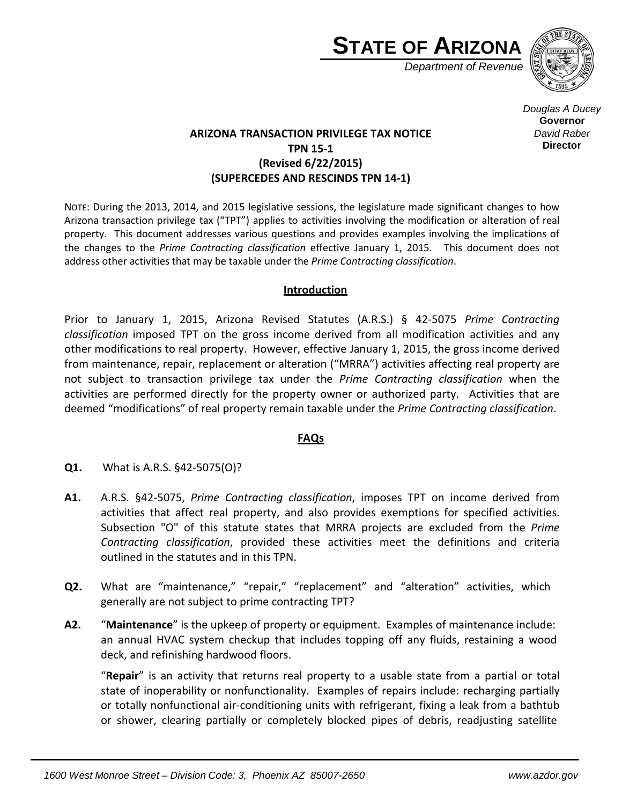



*Douglas A Ducey* **Governor** *David Raber* **Director**

## **ARIZONA TRANSACTION PRIVILEGE TAX NOTICE TPN 15-1 (Revised 6/22/2015) (SUPERCEDES AND RESCINDS TPN 14-1)**

NOTE: During the 2013, 2014, and 2015 legislative sessions, the legislature made significant changes to how Arizona transaction privilege tax ("TPT") applies to activities involving the modification or alteration of real property. This document addresses various questions and provides examples involving the implications of the changes to the *Prime Contracting classification* effective January 1, 2015. This document does not address other activities that may be taxable under the *Prime Contracting classification*.

## **Introduction**

Prior to January 1, 2015, Arizona Revised Statutes (A.R.S.) § 42-5075 *Prime Contracting classification* imposed TPT on the gross income derived from all modification activities and any other modifications to real property. However, effective January 1, 2015, the gross income derived from maintenance, repair, replacement or alteration ("MRRA") activities affecting real property are not subject to transaction privilege tax under the *Prime Contracting classification* when the activities are performed directly for the property owner or authorized party. Activities that are deemed "modifications" of real property remain taxable under the *Prime Contracting classification*.

## **FAQs**

- **Q1.** What is A.R.S. §42-5075(O)?
- **A1.** A.R.S. §42-5075, *Prime Contracting classification*, imposes TPT on income derived from activities that affect real property, and also provides exemptions for specified activities. Subsection "O" of this statute states that MRRA projects are excluded from the *Prime Contracting classification*, provided these activities meet the definitions and criteria outlined in the statutes and in this TPN.
- **Q2.** What are "maintenance," "repair," "replacement" and "alteration" activities, which generally are not subject to prime contracting TPT?
- **A2.** "**Maintenance**" is the upkeep of property or equipment. Examples of maintenance include: an annual HVAC system checkup that includes topping off any fluids, restaining a wood deck, and refinishing hardwood floors.

"**Repair**" is an activity that returns real property to a usable state from a partial or total state of inoperability or nonfunctionality. Examples of repairs include: recharging partially or totally nonfunctional air-conditioning units with refrigerant, fixing a leak from a bathtub or shower, clearing partially or completely blocked pipes of debris, readjusting satellite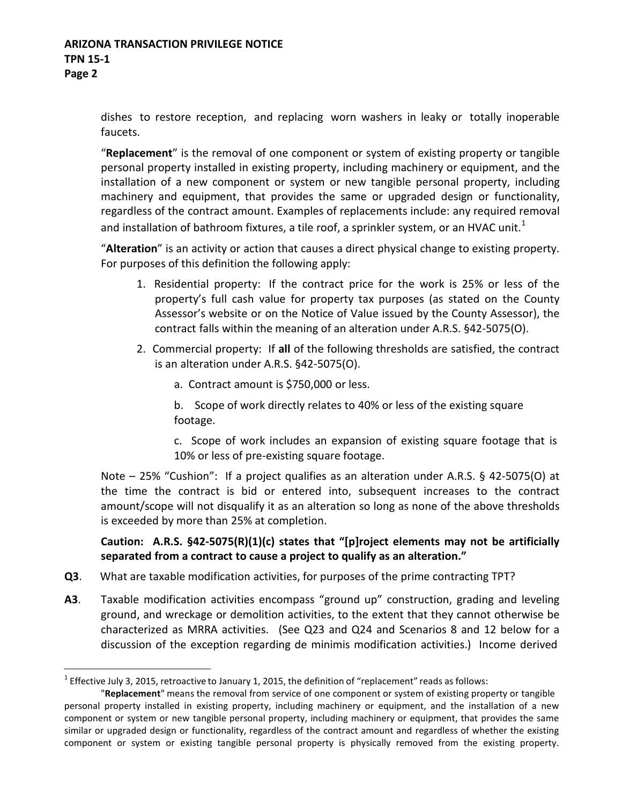## **ARIZONA TRANSACTION PRIVILEGE NOTICE TPN 15-1 Page 2**

dishes to restore reception, and replacing worn washers in leaky or totally inoperable faucets.

"**Replacement**" is the removal of one component or system of existing property or tangible personal property installed in existing property, including machinery or equipment, and the installation of a new component or system or new tangible personal property, including machinery and equipment, that provides the same or upgraded design or functionality, regardless of the contract amount. Examples of replacements include: any required removal and installation of bathroom fixtures, a tile roof, a sprinkler system, or an HVAC unit.<sup>1</sup>

"**Alteration**" is an activity or action that causes a direct physical change to existing property. For purposes of this definition the following apply:

- 1. Residential property: If the contract price for the work is 25% or less of the property's full cash value for property tax purposes (as stated on the County Assessor's website or on the Notice of Value issued by the County Assessor), the contract falls within the meaning of an alteration under A.R.S. §42-5075(O).
- 2. Commercial property: If **all** of the following thresholds are satisfied, the contract is an alteration under A.R.S. §42-5075(O).
	- a. Contract amount is \$750,000 or less.

b. Scope of work directly relates to 40% or less of the existing square footage.

c. Scope of work includes an expansion of existing square footage that is 10% or less of pre-existing square footage.

Note – 25% "Cushion": If a project qualifies as an alteration under A.R.S. § 42-5075(O) at the time the contract is bid or entered into, subsequent increases to the contract amount/scope will not disqualify it as an alteration so long as none of the above thresholds is exceeded by more than 25% at completion.

**Caution: A.R.S. §42-5075(R)(1)(c) states that "[p]roject elements may not be artificially separated from a contract to cause a project to qualify as an alteration."**

- **Q3**. What are taxable modification activities, for purposes of the prime contracting TPT?
- **A3**. Taxable modification activities encompass "ground up" construction, grading and leveling ground, and wreckage or demolition activities, to the extent that they cannot otherwise be characterized as MRRA activities. (See Q23 and Q24 and Scenarios 8 and 12 below for a discussion of the exception regarding de minimis modification activities.) Income derived

 $<sup>1</sup>$  Effective July 3, 2015, retroactive to January 1, 2015, the definition of "replacement" reads as follows:</sup>

<sup>&</sup>quot;**Replacement**" means the removal from service of one component or system of existing property or tangible personal property installed in existing property, including machinery or equipment, and the installation of a new component or system or new tangible personal property, including machinery or equipment, that provides the same similar or upgraded design or functionality, regardless of the contract amount and regardless of whether the existing component or system or existing tangible personal property is physically removed from the existing property.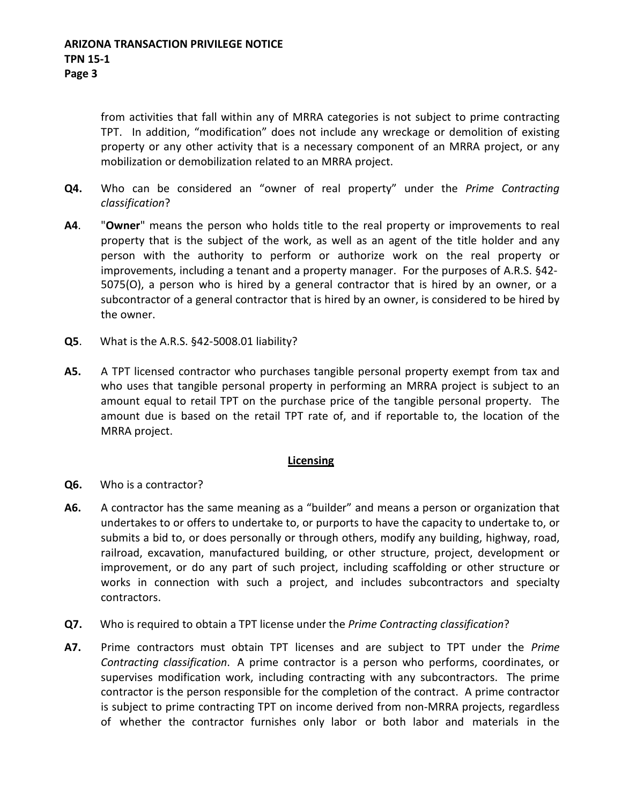from activities that fall within any of MRRA categories is not subject to prime contracting TPT. In addition, "modification" does not include any wreckage or demolition of existing property or any other activity that is a necessary component of an MRRA project, or any mobilization or demobilization related to an MRRA project.

- **Q4.** Who can be considered an "owner of real property" under the *Prime Contracting classification*?
- **A4**. "**Owner**" means the person who holds title to the real property or improvements to real property that is the subject of the work, as well as an agent of the title holder and any person with the authority to perform or authorize work on the real property or improvements, including a tenant and a property manager. For the purposes of A.R.S. §42- 5075(O), a person who is hired by a general contractor that is hired by an owner, or a subcontractor of a general contractor that is hired by an owner, is considered to be hired by the owner.
- **Q5**. What is the A.R.S. §42-5008.01 liability?
- **A5.** A TPT licensed contractor who purchases tangible personal property exempt from tax and who uses that tangible personal property in performing an MRRA project is subject to an amount equal to retail TPT on the purchase price of the tangible personal property. The amount due is based on the retail TPT rate of, and if reportable to, the location of the MRRA project.

## **Licensing**

- **Q6.** Who is a contractor?
- **A6.** A contractor has the same meaning as a "builder" and means a person or organization that undertakes to or offers to undertake to, or purports to have the capacity to undertake to, or submits a bid to, or does personally or through others, modify any building, highway, road, railroad, excavation, manufactured building, or other structure, project, development or improvement, or do any part of such project, including scaffolding or other structure or works in connection with such a project, and includes subcontractors and specialty contractors.
- **Q7.** Who is required to obtain a TPT license under the *Prime Contracting classification*?
- **A7.** Prime contractors must obtain TPT licenses and are subject to TPT under the *Prime Contracting classification*. A prime contractor is a person who performs, coordinates, or supervises modification work, including contracting with any subcontractors. The prime contractor is the person responsible for the completion of the contract. A prime contractor is subject to prime contracting TPT on income derived from non-MRRA projects, regardless of whether the contractor furnishes only labor or both labor and materials in the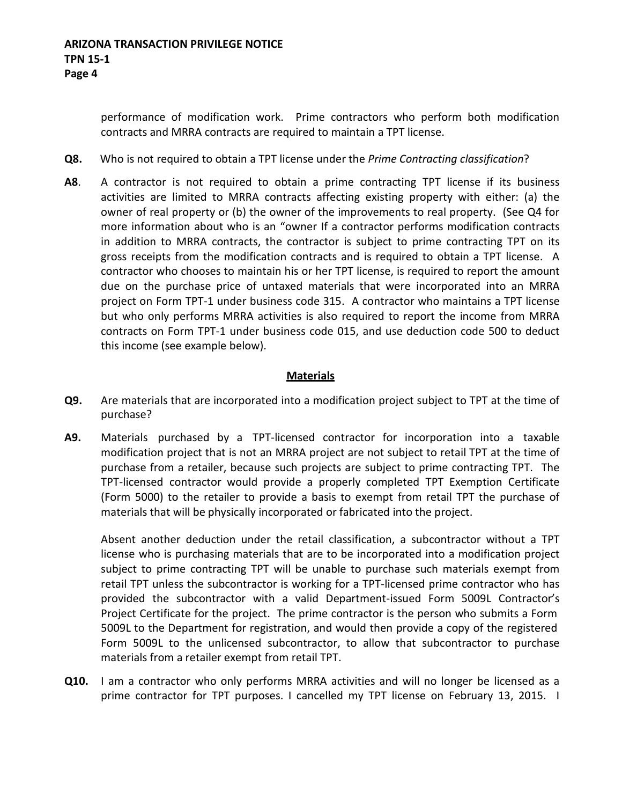performance of modification work. Prime contractors who perform both modification contracts and MRRA contracts are required to maintain a TPT license.

- **Q8.** Who is not required to obtain a TPT license under the *Prime Contracting classification*?
- **A8**. A contractor is not required to obtain a prime contracting TPT license if its business activities are limited to MRRA contracts affecting existing property with either: (a) the owner of real property or (b) the owner of the improvements to real property. (See Q4 for more information about who is an "owner If a contractor performs modification contracts in addition to MRRA contracts, the contractor is subject to prime contracting TPT on its gross receipts from the modification contracts and is required to obtain a TPT license. A contractor who chooses to maintain his or her TPT license, is required to report the amount due on the purchase price of untaxed materials that were incorporated into an MRRA project on Form TPT-1 under business code 315. A contractor who maintains a TPT license but who only performs MRRA activities is also required to report the income from MRRA contracts on Form TPT-1 under business code 015, and use deduction code 500 to deduct this income (see example below).

### **Materials**

- **Q9.** Are materials that are incorporated into a modification project subject to TPT at the time of purchase?
- **A9.** Materials purchased by a TPT-licensed contractor for incorporation into a taxable modification project that is not an MRRA project are not subject to retail TPT at the time of purchase from a retailer, because such projects are subject to prime contracting TPT. The TPT-licensed contractor would provide a properly completed TPT Exemption Certificate (Form 5000) to the retailer to provide a basis to exempt from retail TPT the purchase of materials that will be physically incorporated or fabricated into the project.

Absent another deduction under the retail classification, a subcontractor without a TPT license who is purchasing materials that are to be incorporated into a modification project subject to prime contracting TPT will be unable to purchase such materials exempt from retail TPT unless the subcontractor is working for a TPT-licensed prime contractor who has provided the subcontractor with a valid Department-issued Form 5009L Contractor's Project Certificate for the project. The prime contractor is the person who submits a Form 5009L to the Department for registration, and would then provide a copy of the registered Form 5009L to the unlicensed subcontractor, to allow that subcontractor to purchase materials from a retailer exempt from retail TPT.

**Q10.** I am a contractor who only performs MRRA activities and will no longer be licensed as a prime contractor for TPT purposes. I cancelled my TPT license on February 13, 2015. I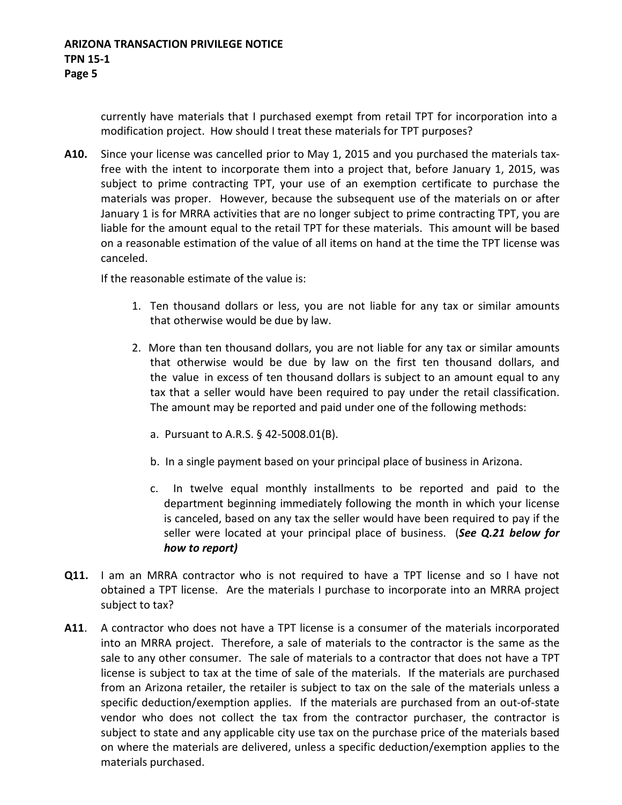currently have materials that I purchased exempt from retail TPT for incorporation into a modification project. How should I treat these materials for TPT purposes?

**A10.** Since your license was cancelled prior to May 1, 2015 and you purchased the materials taxfree with the intent to incorporate them into a project that, before January 1, 2015, was subject to prime contracting TPT, your use of an exemption certificate to purchase the materials was proper. However, because the subsequent use of the materials on or after January 1 is for MRRA activities that are no longer subject to prime contracting TPT, you are liable for the amount equal to the retail TPT for these materials. This amount will be based on a reasonable estimation of the value of all items on hand at the time the TPT license was canceled.

If the reasonable estimate of the value is:

- 1. Ten thousand dollars or less, you are not liable for any tax or similar amounts that otherwise would be due by law.
- 2. More than ten thousand dollars, you are not liable for any tax or similar amounts that otherwise would be due by law on the first ten thousand dollars, and the value in excess of ten thousand dollars is subject to an amount equal to any tax that a seller would have been required to pay under the retail classification. The amount may be reported and paid under one of the following methods:
	- a. Pursuant to A.R.S. § 42-5008.01(B).
	- b. In a single payment based on your principal place of business in Arizona.
	- c. In twelve equal monthly installments to be reported and paid to the department beginning immediately following the month in which your license is canceled, based on any tax the seller would have been required to pay if the seller were located at your principal place of business. (*See Q.21 below for how to report)*
- **Q11.** I am an MRRA contractor who is not required to have a TPT license and so I have not obtained a TPT license. Are the materials I purchase to incorporate into an MRRA project subject to tax?
- **A11**. A contractor who does not have a TPT license is a consumer of the materials incorporated into an MRRA project. Therefore, a sale of materials to the contractor is the same as the sale to any other consumer. The sale of materials to a contractor that does not have a TPT license is subject to tax at the time of sale of the materials. If the materials are purchased from an Arizona retailer, the retailer is subject to tax on the sale of the materials unless a specific deduction/exemption applies. If the materials are purchased from an out-of-state vendor who does not collect the tax from the contractor purchaser, the contractor is subject to state and any applicable city use tax on the purchase price of the materials based on where the materials are delivered, unless a specific deduction/exemption applies to the materials purchased.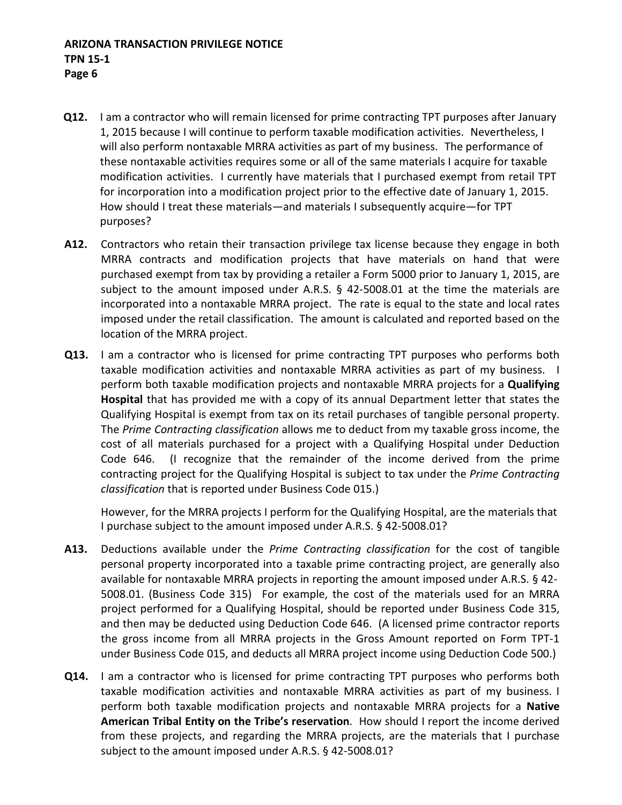- **Q12.** I am a contractor who will remain licensed for prime contracting TPT purposes after January 1, 2015 because I will continue to perform taxable modification activities. Nevertheless, I will also perform nontaxable MRRA activities as part of my business. The performance of these nontaxable activities requires some or all of the same materials I acquire for taxable modification activities. I currently have materials that I purchased exempt from retail TPT for incorporation into a modification project prior to the effective date of January 1, 2015. How should I treat these materials—and materials I subsequently acquire—for TPT purposes?
- **A12.** Contractors who retain their transaction privilege tax license because they engage in both MRRA contracts and modification projects that have materials on hand that were purchased exempt from tax by providing a retailer a Form 5000 prior to January 1, 2015, are subject to the amount imposed under A.R.S. § 42-5008.01 at the time the materials are incorporated into a nontaxable MRRA project. The rate is equal to the state and local rates imposed under the retail classification. The amount is calculated and reported based on the location of the MRRA project.
- **Q13.** I am a contractor who is licensed for prime contracting TPT purposes who performs both taxable modification activities and nontaxable MRRA activities as part of my business. I perform both taxable modification projects and nontaxable MRRA projects for a **Qualifying Hospital** that has provided me with a copy of its annual Department letter that states the Qualifying Hospital is exempt from tax on its retail purchases of tangible personal property. The *Prime Contracting classification* allows me to deduct from my taxable gross income, the cost of all materials purchased for a project with a Qualifying Hospital under Deduction Code 646. (I recognize that the remainder of the income derived from the prime contracting project for the Qualifying Hospital is subject to tax under the *Prime Contracting classification* that is reported under Business Code 015.)

However, for the MRRA projects I perform for the Qualifying Hospital, are the materials that I purchase subject to the amount imposed under A.R.S. § 42-5008.01?

- **A13.** Deductions available under the *Prime Contracting classification* for the cost of tangible personal property incorporated into a taxable prime contracting project, are generally also available for nontaxable MRRA projects in reporting the amount imposed under A.R.S. § 42- 5008.01. (Business Code 315) For example, the cost of the materials used for an MRRA project performed for a Qualifying Hospital, should be reported under Business Code 315, and then may be deducted using Deduction Code 646. (A licensed prime contractor reports the gross income from all MRRA projects in the Gross Amount reported on Form TPT-1 under Business Code 015, and deducts all MRRA project income using Deduction Code 500.)
- **Q14.** I am a contractor who is licensed for prime contracting TPT purposes who performs both taxable modification activities and nontaxable MRRA activities as part of my business. I perform both taxable modification projects and nontaxable MRRA projects for a **Native American Tribal Entity on the Tribe's reservation**. How should I report the income derived from these projects, and regarding the MRRA projects, are the materials that I purchase subject to the amount imposed under A.R.S. § 42-5008.01?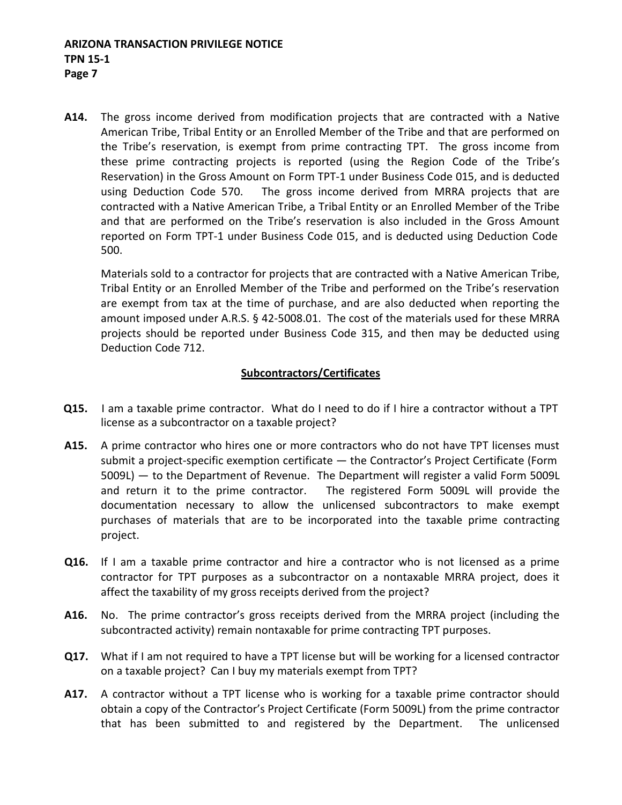**A14.** The gross income derived from modification projects that are contracted with a Native American Tribe, Tribal Entity or an Enrolled Member of the Tribe and that are performed on the Tribe's reservation, is exempt from prime contracting TPT. The gross income from these prime contracting projects is reported (using the Region Code of the Tribe's Reservation) in the Gross Amount on Form TPT-1 under Business Code 015, and is deducted using Deduction Code 570. The gross income derived from MRRA projects that are contracted with a Native American Tribe, a Tribal Entity or an Enrolled Member of the Tribe and that are performed on the Tribe's reservation is also included in the Gross Amount reported on Form TPT-1 under Business Code 015, and is deducted using Deduction Code 500.

Materials sold to a contractor for projects that are contracted with a Native American Tribe, Tribal Entity or an Enrolled Member of the Tribe and performed on the Tribe's reservation are exempt from tax at the time of purchase, and are also deducted when reporting the amount imposed under A.R.S. § 42-5008.01. The cost of the materials used for these MRRA projects should be reported under Business Code 315, and then may be deducted using Deduction Code 712.

## **Subcontractors/Certificates**

- **Q15.** I am a taxable prime contractor. What do I need to do if I hire a contractor without a TPT license as a subcontractor on a taxable project?
- **A15.** A prime contractor who hires one or more contractors who do not have TPT licenses must submit a project-specific exemption certificate — the Contractor's Project Certificate (Form 5009L) — to the Department of Revenue. The Department will register a valid Form 5009L and return it to the prime contractor. The registered Form 5009L will provide the documentation necessary to allow the unlicensed subcontractors to make exempt purchases of materials that are to be incorporated into the taxable prime contracting project.
- **Q16.** If I am a taxable prime contractor and hire a contractor who is not licensed as a prime contractor for TPT purposes as a subcontractor on a nontaxable MRRA project, does it affect the taxability of my gross receipts derived from the project?
- **A16.** No. The prime contractor's gross receipts derived from the MRRA project (including the subcontracted activity) remain nontaxable for prime contracting TPT purposes.
- **Q17.** What if I am not required to have a TPT license but will be working for a licensed contractor on a taxable project? Can I buy my materials exempt from TPT?
- **A17.** A contractor without a TPT license who is working for a taxable prime contractor should obtain a copy of the Contractor's Project Certificate (Form 5009L) from the prime contractor that has been submitted to and registered by the Department. The unlicensed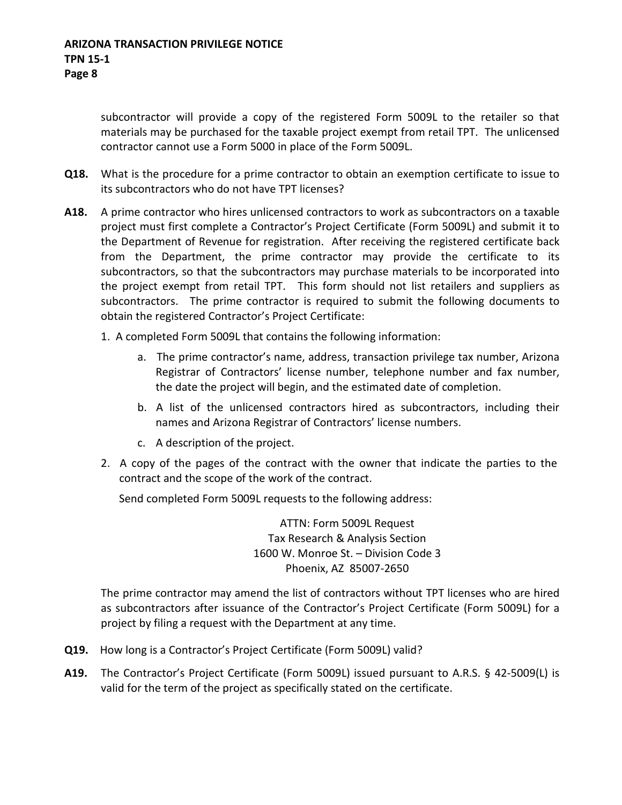subcontractor will provide a copy of the registered Form 5009L to the retailer so that materials may be purchased for the taxable project exempt from retail TPT. The unlicensed contractor cannot use a Form 5000 in place of the Form 5009L.

- **Q18.** What is the procedure for a prime contractor to obtain an exemption certificate to issue to its subcontractors who do not have TPT licenses?
- **A18.** A prime contractor who hires unlicensed contractors to work as subcontractors on a taxable project must first complete a Contractor's Project Certificate (Form 5009L) and submit it to the Department of Revenue for registration. After receiving the registered certificate back from the Department, the prime contractor may provide the certificate to its subcontractors, so that the subcontractors may purchase materials to be incorporated into the project exempt from retail TPT. This form should not list retailers and suppliers as subcontractors. The prime contractor is required to submit the following documents to obtain the registered Contractor's Project Certificate:
	- 1. A completed Form 5009L that contains the following information:
		- a. The prime contractor's name, address, transaction privilege tax number, Arizona Registrar of Contractors' license number, telephone number and fax number, the date the project will begin, and the estimated date of completion.
		- b. A list of the unlicensed contractors hired as subcontractors, including their names and Arizona Registrar of Contractors' license numbers.
		- c. A description of the project.
	- 2. A copy of the pages of the contract with the owner that indicate the parties to the contract and the scope of the work of the contract.

Send completed Form 5009L requests to the following address:

ATTN: Form 5009L Request Tax Research & Analysis Section 1600 W. Monroe St. – Division Code 3 Phoenix, AZ 85007-2650

The prime contractor may amend the list of contractors without TPT licenses who are hired as subcontractors after issuance of the Contractor's Project Certificate (Form 5009L) for a project by filing a request with the Department at any time.

- **Q19.** How long is a Contractor's Project Certificate (Form 5009L) valid?
- **A19.** The Contractor's Project Certificate (Form 5009L) issued pursuant to A.R.S. § 42-5009(L) is valid for the term of the project as specifically stated on the certificate.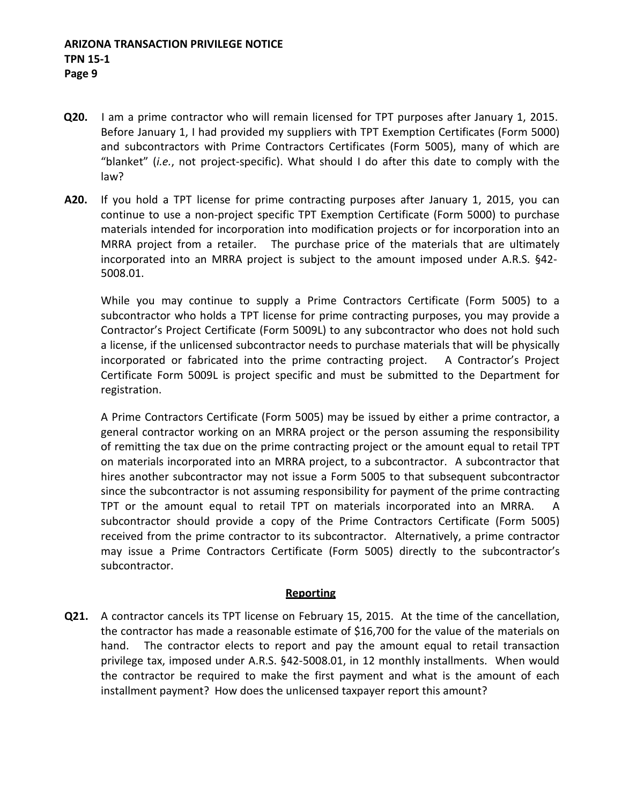## **ARIZONA TRANSACTION PRIVILEGE NOTICE TPN 15-1 Page 9**

- **Q20.** I am a prime contractor who will remain licensed for TPT purposes after January 1, 2015. Before January 1, I had provided my suppliers with TPT Exemption Certificates (Form 5000) and subcontractors with Prime Contractors Certificates (Form 5005), many of which are "blanket" (*i.e.*, not project-specific). What should I do after this date to comply with the law?
- **A20.** If you hold a TPT license for prime contracting purposes after January 1, 2015, you can continue to use a non-project specific TPT Exemption Certificate (Form 5000) to purchase materials intended for incorporation into modification projects or for incorporation into an MRRA project from a retailer. The purchase price of the materials that are ultimately incorporated into an MRRA project is subject to the amount imposed under A.R.S. §42- 5008.01.

While you may continue to supply a Prime Contractors Certificate (Form 5005) to a subcontractor who holds a TPT license for prime contracting purposes, you may provide a Contractor's Project Certificate (Form 5009L) to any subcontractor who does not hold such a license, if the unlicensed subcontractor needs to purchase materials that will be physically incorporated or fabricated into the prime contracting project. A Contractor's Project Certificate Form 5009L is project specific and must be submitted to the Department for registration.

A Prime Contractors Certificate (Form 5005) may be issued by either a prime contractor, a general contractor working on an MRRA project or the person assuming the responsibility of remitting the tax due on the prime contracting project or the amount equal to retail TPT on materials incorporated into an MRRA project, to a subcontractor. A subcontractor that hires another subcontractor may not issue a Form 5005 to that subsequent subcontractor since the subcontractor is not assuming responsibility for payment of the prime contracting TPT or the amount equal to retail TPT on materials incorporated into an MRRA. subcontractor should provide a copy of the Prime Contractors Certificate (Form 5005) received from the prime contractor to its subcontractor. Alternatively, a prime contractor may issue a Prime Contractors Certificate (Form 5005) directly to the subcontractor's subcontractor.

## **Reporting**

**Q21.** A contractor cancels its TPT license on February 15, 2015. At the time of the cancellation, the contractor has made a reasonable estimate of \$16,700 for the value of the materials on hand. The contractor elects to report and pay the amount equal to retail transaction privilege tax, imposed under A.R.S. §42-5008.01, in 12 monthly installments. When would the contractor be required to make the first payment and what is the amount of each installment payment? How does the unlicensed taxpayer report this amount?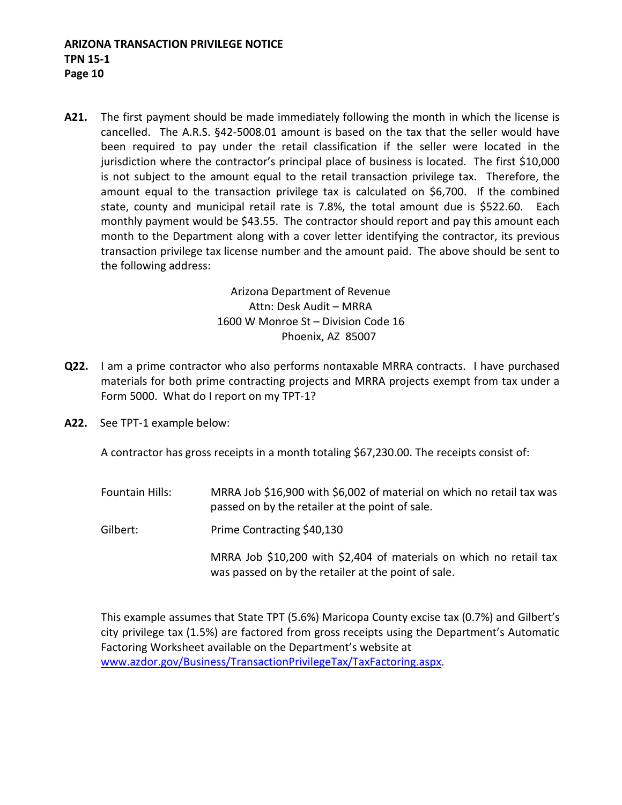**A21.** The first payment should be made immediately following the month in which the license is cancelled. The A.R.S. §42-5008.01 amount is based on the tax that the seller would have been required to pay under the retail classification if the seller were located in the jurisdiction where the contractor's principal place of business is located. The first \$10,000 is not subject to the amount equal to the retail transaction privilege tax. Therefore, the amount equal to the transaction privilege tax is calculated on \$6,700. If the combined state, county and municipal retail rate is 7.8%, the total amount due is \$522.60. Each monthly payment would be \$43.55. The contractor should report and pay this amount each month to the Department along with a cover letter identifying the contractor, its previous transaction privilege tax license number and the amount paid. The above should be sent to the following address:

> Arizona Department of Revenue Attn: Desk Audit – MRRA 1600 W Monroe St – Division Code 16 Phoenix, AZ 85007

- **Q22.** I am a prime contractor who also performs nontaxable MRRA contracts. I have purchased materials for both prime contracting projects and MRRA projects exempt from tax under a Form 5000. What do I report on my TPT-1?
- **A22.** See TPT-1 example below:

A contractor has gross receipts in a month totaling \$67,230.00. The receipts consist of:

- Fountain Hills: MRRA Job \$16,900 with \$6,002 of material on which no retail tax was passed on by the retailer at the point of sale.
- Gilbert: Prime Contracting \$40,130

MRRA Job \$10,200 with \$2,404 of materials on which no retail tax was passed on by the retailer at the point of sale.

This example assumes that State TPT (5.6%) Maricopa County excise tax (0.7%) and Gilbert's city privilege tax (1.5%) are factored from gross receipts using the Department's Automatic Factoring Worksheet available on the Department's website at [www.azdor.gov/Business/TransactionPrivilegeTax/TaxFactoring.aspx.](http://www.azdor.gov/Business/TransactionPrivilegeTax/TaxFactoring.aspx)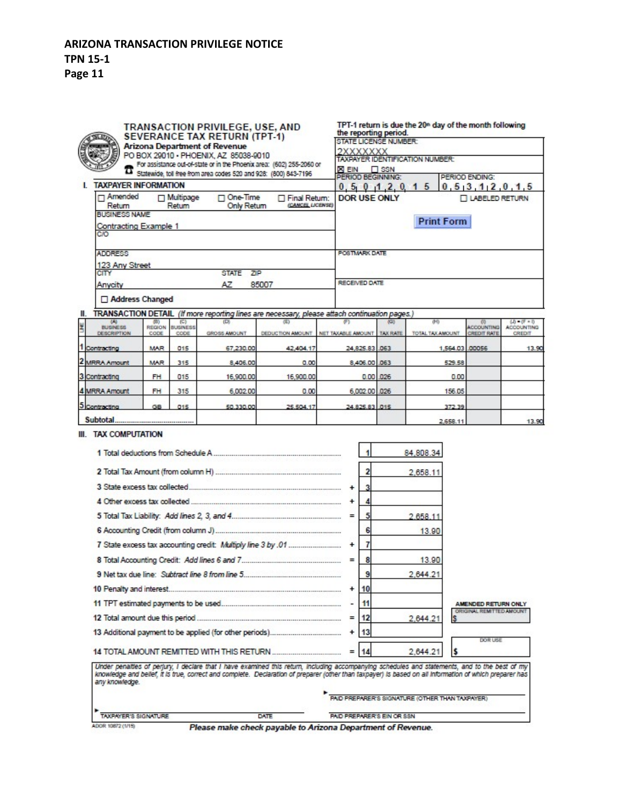# **ARIZONA TRANSACTION PRIVILEGE NOTICE TPN 15-1**

**Page 11**

| TRANSACTION PRIVILEGE, USE, AND<br><b>SEVERANCE TAX RETURN (TPT-1)</b> |                                                                                                                                                                                                                            |                       |                            |                                            |                                                                                                                                                                                                                                                                                                           |           | TPT-1 return is due the 20 <sup>th</sup> day of the month following<br>the reporting period.<br>STATE LICENSE NUMBER: |                                                        |                                                 |                          |                                         |                                    |  |  |
|------------------------------------------------------------------------|----------------------------------------------------------------------------------------------------------------------------------------------------------------------------------------------------------------------------|-----------------------|----------------------------|--------------------------------------------|-----------------------------------------------------------------------------------------------------------------------------------------------------------------------------------------------------------------------------------------------------------------------------------------------------------|-----------|-----------------------------------------------------------------------------------------------------------------------|--------------------------------------------------------|-------------------------------------------------|--------------------------|-----------------------------------------|------------------------------------|--|--|
|                                                                        | <b>Arizona Department of Revenue</b><br>PO BOX 29010 - PHOENIX, AZ 85038-9010<br>For assistance out-of-state or in the Phoenix area: (602) 255-2060 or<br>Statewide, toll free from area codes 520 and 928: (800) 843-7196 |                       |                            |                                            |                                                                                                                                                                                                                                                                                                           |           |                                                                                                                       | 2XXXXXXX                                               |                                                 |                          |                                         |                                    |  |  |
|                                                                        |                                                                                                                                                                                                                            |                       |                            |                                            |                                                                                                                                                                                                                                                                                                           |           |                                                                                                                       | TAXPAYER IDENTIFICATION NUMBER:                        |                                                 |                          |                                         |                                    |  |  |
|                                                                        |                                                                                                                                                                                                                            |                       |                            |                                            |                                                                                                                                                                                                                                                                                                           |           |                                                                                                                       | <b>XEIN</b> SSN<br>PERIOD BEGINNING:<br>PERIOD ENDING: |                                                 |                          |                                         |                                    |  |  |
|                                                                        | <b>TAXPAYER INFORMATION</b>                                                                                                                                                                                                |                       |                            |                                            |                                                                                                                                                                                                                                                                                                           |           |                                                                                                                       | 0, 5, 3, 1, 2, 0, 1, 5<br>0, 5, 0, 1, 2, 0, 1<br>5     |                                                 |                          |                                         |                                    |  |  |
|                                                                        | Amended<br>Return<br><b>BUSINESS NAME</b>                                                                                                                                                                                  |                       | $\Box$ Multipage<br>Return | □ One-Time<br>Only Return                  | Final Return:<br>(CANCEL LICENSE)                                                                                                                                                                                                                                                                         |           | <b>DOR USE ONLY</b>                                                                                                   |                                                        |                                                 |                          | LABELED RETURN                          |                                    |  |  |
|                                                                        | Contracting Example 1<br>CIO                                                                                                                                                                                               |                       |                            |                                            |                                                                                                                                                                                                                                                                                                           |           | <b>Print Form</b>                                                                                                     |                                                        |                                                 |                          |                                         |                                    |  |  |
|                                                                        | <b>ADDRESS</b>                                                                                                                                                                                                             |                       |                            |                                            |                                                                                                                                                                                                                                                                                                           |           | POSTMARK DATE                                                                                                         |                                                        |                                                 |                          |                                         |                                    |  |  |
|                                                                        | 123 Any Street                                                                                                                                                                                                             |                       |                            |                                            |                                                                                                                                                                                                                                                                                                           |           |                                                                                                                       |                                                        |                                                 |                          |                                         |                                    |  |  |
| <b>CITY</b>                                                            |                                                                                                                                                                                                                            |                       |                            | STATE ZIP<br>AZ.                           | 85007                                                                                                                                                                                                                                                                                                     |           | RECEIVED DATE                                                                                                         |                                                        |                                                 |                          |                                         |                                    |  |  |
|                                                                        | Anycity                                                                                                                                                                                                                    |                       |                            |                                            |                                                                                                                                                                                                                                                                                                           |           |                                                                                                                       |                                                        |                                                 |                          |                                         |                                    |  |  |
|                                                                        | Address Changed                                                                                                                                                                                                            |                       |                            |                                            |                                                                                                                                                                                                                                                                                                           |           |                                                                                                                       |                                                        |                                                 |                          |                                         |                                    |  |  |
| 81.                                                                    | <b>TRANSACTION DETAIL</b><br>$rac{40}{BUBNESS}$                                                                                                                                                                            |                       | (C)                        |                                            | (If more reporting lines are necessary, please attach continuation pages.)                                                                                                                                                                                                                                |           |                                                                                                                       |                                                        | σĐ                                              |                          |                                         | $(3) - (5) = 0$                    |  |  |
| š                                                                      | DESCRIPTION                                                                                                                                                                                                                | <b>REGION</b><br>cope | <b>BUSINESS</b><br>CODE.   | GROSS AMOUNT                               | DEDUCTION AMOUNT INET TAXABLE AMOUNT TAX RATE                                                                                                                                                                                                                                                             |           |                                                                                                                       |                                                        | TOTAL TAX AMOUNT                                |                          | <b>ACCOUNTING</b><br><b>CREDIT RATE</b> | <b>ACCOUNTING</b><br><b>CREDIT</b> |  |  |
| 1<br>Contracting                                                       |                                                                                                                                                                                                                            | <b>MAR</b>            | 015                        | 67,230.00                                  | 42,404.17                                                                                                                                                                                                                                                                                                 |           | 24,825.83 .063                                                                                                        |                                                        |                                                 | 1,564.03 .00056          |                                         | 13.90                              |  |  |
| 2 MRRA Amount                                                          |                                                                                                                                                                                                                            | <b>MAR</b>            | 315                        | 8,406.00                                   | 0.00                                                                                                                                                                                                                                                                                                      |           | 8,406.00 .063                                                                                                         |                                                        |                                                 | 529.58                   |                                         |                                    |  |  |
| 3 Contracting                                                          |                                                                                                                                                                                                                            | <b>FH</b>             | 015                        | 16,900.00                                  | 16,900.00                                                                                                                                                                                                                                                                                                 |           | $0.00$ .026                                                                                                           |                                                        |                                                 | 0.00                     |                                         |                                    |  |  |
| 4 MRRA Amount                                                          |                                                                                                                                                                                                                            | FH                    | 315                        | 6,002.00                                   | 0.00                                                                                                                                                                                                                                                                                                      |           | 6,002.00 .026                                                                                                         |                                                        |                                                 | 156.05                   |                                         |                                    |  |  |
| 5 Contracting                                                          |                                                                                                                                                                                                                            | GB                    | 015                        | 50,330,00                                  | 25.504.17                                                                                                                                                                                                                                                                                                 |           | 24,825,83 .015                                                                                                        |                                                        |                                                 | 372.39                   |                                         |                                    |  |  |
|                                                                        |                                                                                                                                                                                                                            |                       |                            |                                            |                                                                                                                                                                                                                                                                                                           |           |                                                                                                                       |                                                        |                                                 | 2,658.11                 |                                         | 13.90                              |  |  |
|                                                                        | III. TAX COMPUTATION                                                                                                                                                                                                       |                       |                            |                                            |                                                                                                                                                                                                                                                                                                           |           | 1                                                                                                                     |                                                        | 84,808.34                                       |                          |                                         |                                    |  |  |
|                                                                        |                                                                                                                                                                                                                            |                       |                            |                                            |                                                                                                                                                                                                                                                                                                           |           |                                                                                                                       |                                                        | 2,658.11                                        |                          |                                         |                                    |  |  |
|                                                                        |                                                                                                                                                                                                                            |                       |                            |                                            |                                                                                                                                                                                                                                                                                                           |           |                                                                                                                       |                                                        |                                                 |                          |                                         |                                    |  |  |
|                                                                        |                                                                                                                                                                                                                            |                       |                            |                                            |                                                                                                                                                                                                                                                                                                           |           | $\ddot{}$<br>4                                                                                                        |                                                        |                                                 |                          |                                         |                                    |  |  |
|                                                                        |                                                                                                                                                                                                                            |                       |                            |                                            |                                                                                                                                                                                                                                                                                                           |           |                                                                                                                       |                                                        | 2.658.11                                        |                          |                                         |                                    |  |  |
|                                                                        |                                                                                                                                                                                                                            |                       |                            |                                            |                                                                                                                                                                                                                                                                                                           |           |                                                                                                                       |                                                        | 13.90                                           |                          |                                         |                                    |  |  |
|                                                                        |                                                                                                                                                                                                                            |                       |                            |                                            |                                                                                                                                                                                                                                                                                                           |           |                                                                                                                       |                                                        |                                                 |                          |                                         |                                    |  |  |
|                                                                        |                                                                                                                                                                                                                            |                       |                            |                                            |                                                                                                                                                                                                                                                                                                           |           | 8<br>$=$                                                                                                              |                                                        | 13.90                                           |                          |                                         |                                    |  |  |
|                                                                        |                                                                                                                                                                                                                            |                       |                            |                                            |                                                                                                                                                                                                                                                                                                           | 9         |                                                                                                                       | 2.644.21                                               |                                                 |                          |                                         |                                    |  |  |
|                                                                        |                                                                                                                                                                                                                            |                       |                            |                                            |                                                                                                                                                                                                                                                                                                           | 10        |                                                                                                                       |                                                        |                                                 |                          |                                         |                                    |  |  |
|                                                                        |                                                                                                                                                                                                                            |                       |                            |                                            |                                                                                                                                                                                                                                                                                                           | 11        |                                                                                                                       |                                                        |                                                 | AMENDED RETURN ONLY      |                                         |                                    |  |  |
|                                                                        |                                                                                                                                                                                                                            |                       |                            |                                            |                                                                                                                                                                                                                                                                                                           | 12<br>$=$ |                                                                                                                       | 2.644.21                                               |                                                 | ORIGINAL REMITTED AMOUNT |                                         |                                    |  |  |
|                                                                        |                                                                                                                                                                                                                            |                       |                            |                                            |                                                                                                                                                                                                                                                                                                           |           | 13<br>÷                                                                                                               |                                                        |                                                 |                          |                                         |                                    |  |  |
|                                                                        |                                                                                                                                                                                                                            |                       |                            | 14 TOTAL AMOUNT REMITTED WITH THIS RETURN. |                                                                                                                                                                                                                                                                                                           |           | 14                                                                                                                    |                                                        | 2,644.21                                        |                          | DOR USE                                 |                                    |  |  |
|                                                                        | any knowledge.                                                                                                                                                                                                             |                       |                            |                                            | Under penalties of perjury, I declare that I have examined this return, including accompanying schedules and statements, and to the best of my<br>knowledge and belief, it is true, correct and complete. Declaration of preparer (other than taxpayer) is based on all information of which preparer has |           |                                                                                                                       |                                                        | PAID PREPARER'S SIGNATURE (OTHER THAN TAXPAYER) |                          |                                         |                                    |  |  |
|                                                                        | TAXPAYER'S SIGNATURE                                                                                                                                                                                                       |                       |                            |                                            | <b>DATE</b>                                                                                                                                                                                                                                                                                               |           | PAID PREPARER'S EIN OR SSN.                                                                                           |                                                        |                                                 |                          |                                         |                                    |  |  |

ADOR 10872 (1/15)

Please make check payable to Arizona Department of Revenue.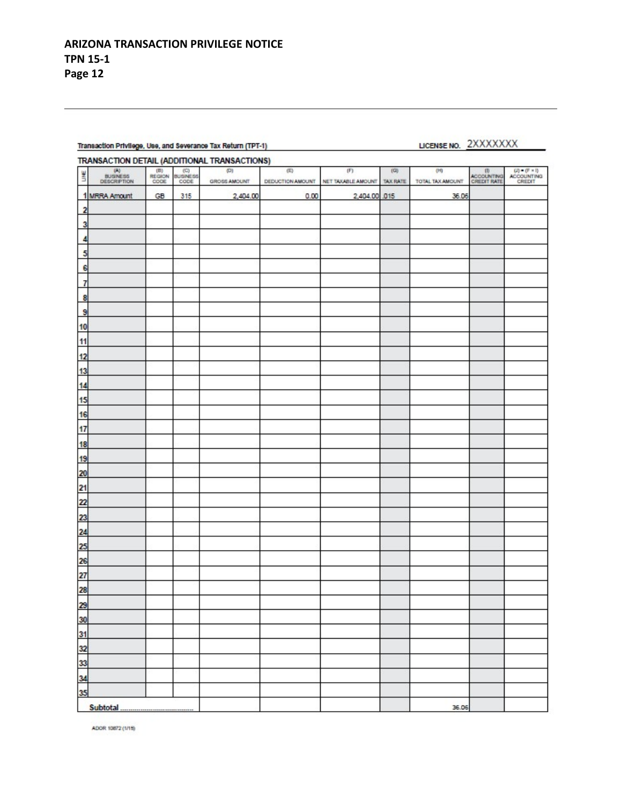#### Transaction Privilege, Use, and Severance Tax Return (TPT-1)

## LICENSE NO. 2XXXXXXX

#### **TRANSACTION DETAIL (ADDITIONAL TRANSACTIONS)**

|                                  | <b>IN ANOTOTION DETAIL PRODUCTIONS</b> TRANSFIGHTON                              |                         |                                                                             |                     |      |                                                     |     |                         |                                  |                                                                                                              |
|----------------------------------|----------------------------------------------------------------------------------|-------------------------|-----------------------------------------------------------------------------|---------------------|------|-----------------------------------------------------|-----|-------------------------|----------------------------------|--------------------------------------------------------------------------------------------------------------|
| Ľ                                | $\begin{array}{c} \text{(A)} \\ \text{BUSNESS} \\ \text{DEGREPTION} \end{array}$ | $(8)$<br>REGION<br>CODE | $\begin{array}{c} \text{(C)} \\ \text{SUBINESS} \\ \text{CODE} \end{array}$ | (3)<br>GROSS AMOUNT | (0)  | (F)<br>DEDUCTION AMOUNT NET TAXABLE AMOUNT TAX RATE | (0) | (H)<br>TOTAL TAX AMOUNT | (0)<br>ACCOUNTING<br>CREDIT RATE | $\begin{array}{r} \text{(I)} = (\text{F} \times \text{I}) \\ \text{ACCQUINTING} \\ \text{CREDT} \end{array}$ |
|                                  | 1 MRRA Amount                                                                    | GB                      | 315                                                                         | 2,404.00            | 0.00 | 2,404.00 .015                                       |     | 36.06                   |                                  |                                                                                                              |
| $\mathbf{2}$                     |                                                                                  |                         |                                                                             |                     |      |                                                     |     |                         |                                  |                                                                                                              |
| 3                                |                                                                                  |                         |                                                                             |                     |      |                                                     |     |                         |                                  |                                                                                                              |
|                                  |                                                                                  |                         |                                                                             |                     |      |                                                     |     |                         |                                  |                                                                                                              |
| 5                                |                                                                                  |                         |                                                                             |                     |      |                                                     |     |                         |                                  |                                                                                                              |
| 6                                |                                                                                  |                         |                                                                             |                     |      |                                                     |     |                         |                                  |                                                                                                              |
| 7                                |                                                                                  |                         |                                                                             |                     |      |                                                     |     |                         |                                  |                                                                                                              |
| 8                                |                                                                                  |                         |                                                                             |                     |      |                                                     |     |                         |                                  |                                                                                                              |
| 9                                |                                                                                  |                         |                                                                             |                     |      |                                                     |     |                         |                                  |                                                                                                              |
| 10                               |                                                                                  |                         |                                                                             |                     |      |                                                     |     |                         |                                  |                                                                                                              |
| 11                               |                                                                                  |                         |                                                                             |                     |      |                                                     |     |                         |                                  |                                                                                                              |
| 12                               |                                                                                  |                         |                                                                             |                     |      |                                                     |     |                         |                                  |                                                                                                              |
| $\frac{13}{2}$                   |                                                                                  |                         |                                                                             |                     |      |                                                     |     |                         |                                  |                                                                                                              |
| 14                               |                                                                                  |                         |                                                                             |                     |      |                                                     |     |                         |                                  |                                                                                                              |
| 15                               |                                                                                  |                         |                                                                             |                     |      |                                                     |     |                         |                                  |                                                                                                              |
| $\frac{1}{16}$                   |                                                                                  |                         |                                                                             |                     |      |                                                     |     |                         |                                  |                                                                                                              |
| $\frac{17}{1}$                   |                                                                                  |                         |                                                                             |                     |      |                                                     |     |                         |                                  |                                                                                                              |
| 18                               |                                                                                  |                         |                                                                             |                     |      |                                                     |     |                         |                                  |                                                                                                              |
| 19                               |                                                                                  |                         |                                                                             |                     |      |                                                     |     |                         |                                  |                                                                                                              |
| 20                               |                                                                                  |                         |                                                                             |                     |      |                                                     |     |                         |                                  |                                                                                                              |
| $^{21}$                          |                                                                                  |                         |                                                                             |                     |      |                                                     |     |                         |                                  |                                                                                                              |
| 22                               |                                                                                  |                         |                                                                             |                     |      |                                                     |     |                         |                                  |                                                                                                              |
| 23                               |                                                                                  |                         |                                                                             |                     |      |                                                     |     |                         |                                  |                                                                                                              |
| 24                               |                                                                                  |                         |                                                                             |                     |      |                                                     |     |                         |                                  |                                                                                                              |
| 25                               |                                                                                  |                         |                                                                             |                     |      |                                                     |     |                         |                                  |                                                                                                              |
| $\frac{26}{1}$                   |                                                                                  |                         |                                                                             |                     |      |                                                     |     |                         |                                  |                                                                                                              |
| 27                               |                                                                                  |                         |                                                                             |                     |      |                                                     |     |                         |                                  |                                                                                                              |
| 28                               |                                                                                  |                         |                                                                             |                     |      |                                                     |     |                         |                                  |                                                                                                              |
| 29                               |                                                                                  |                         |                                                                             |                     |      |                                                     |     |                         |                                  |                                                                                                              |
|                                  |                                                                                  |                         |                                                                             |                     |      |                                                     |     |                         |                                  |                                                                                                              |
|                                  |                                                                                  |                         |                                                                             |                     |      |                                                     |     |                         |                                  |                                                                                                              |
|                                  |                                                                                  |                         |                                                                             |                     |      |                                                     |     |                         |                                  |                                                                                                              |
| 30<br>31<br>33<br>33<br>35<br>35 |                                                                                  |                         |                                                                             |                     |      |                                                     |     |                         |                                  |                                                                                                              |
|                                  |                                                                                  |                         |                                                                             |                     |      |                                                     |     |                         |                                  |                                                                                                              |
|                                  |                                                                                  |                         |                                                                             |                     |      |                                                     |     |                         |                                  |                                                                                                              |
|                                  | Subtotal                                                                         |                         |                                                                             |                     |      |                                                     |     | 36.06                   |                                  |                                                                                                              |

ADOR 10872 (1/15)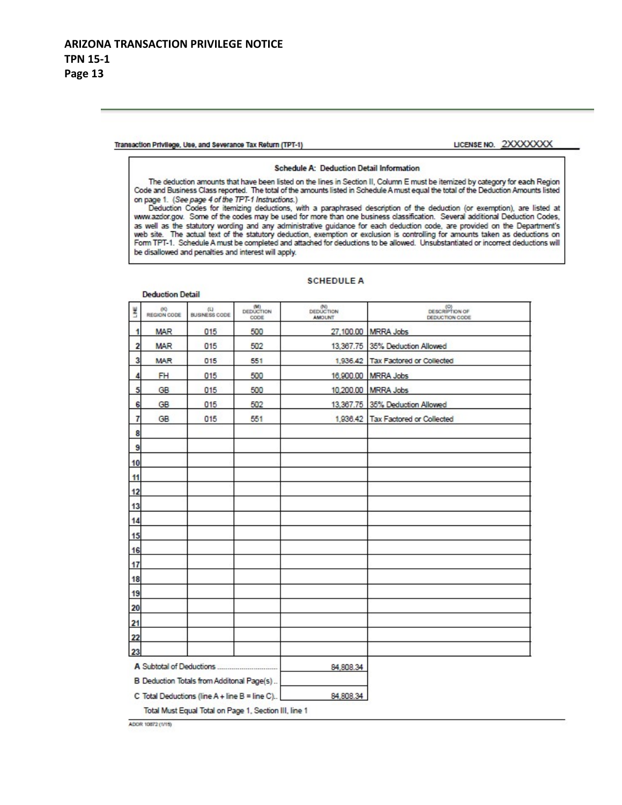**Deduction Detail** 

Transaction Privilege, Use, and Severance Tax Return (TPT-1)

#### LICENSE NO. 2XXXXXXX

#### Schedule A: Deduction Detail Information

The deduction amounts that have been listed on the lines in Section II, Column E must be itemized by category for each Region Code and Business Class reported. The total of the amounts listed in Schedule A must equal the total of the Deduction Amounts listed on page 1. (See page 4 of the TPT-1 Instructions.)

Deduction Codes for itemizing deductions, with a paraphrased description of the deduction (or exemption), are listed at www.azdor.gov. Some of the codes may be used for more than one business classification. Several additional Deduction Codes, as well as the statutory wording and any administrative guidance for each deduction code, are provided on the Department's web site. The actual text of the statutory deduction, exemption or exclusion is controlling for amounts taken as deductions on<br>Form TPT-1. Schedule A must be completed and attached for deductions to be allowed. Unsubstanti be disallowed and penalties and interest will apply.

| š                                         | 09<br>REGION CODE                                     | (1)<br><b>BUSINESS CODE</b>                       | (M)<br>DEDUCTION<br>CODE | DEDUCTION<br><b>AMOUNT</b> | DESCRIPTION OF<br>DEDUCTION CODE   |  |  |  |  |
|-------------------------------------------|-------------------------------------------------------|---------------------------------------------------|--------------------------|----------------------------|------------------------------------|--|--|--|--|
| $\mathbf{1}$                              | <b>MAR</b>                                            | 015                                               | 500                      |                            | 27,100.00 MRRA Jobs                |  |  |  |  |
| $\overline{\mathbf{c}}$                   | <b>MAR</b>                                            | 015                                               | 502                      |                            | 13,367.75 35% Deduction Allowed    |  |  |  |  |
| 3                                         | <b>MAR</b>                                            | 015                                               | 551                      |                            | 1,936.42 Tax Factored or Collected |  |  |  |  |
| $\overline{4}$                            | <b>FH</b>                                             | 015                                               | 500                      |                            | 16,900.00 MRRA Jobs                |  |  |  |  |
| 5                                         | GB                                                    | 015                                               | 500                      |                            | 10,200.00 MRRA Jobs                |  |  |  |  |
| 6                                         | GB                                                    | 015                                               | 502                      |                            | 13,367.75 35% Deduction Allowed    |  |  |  |  |
| $\overline{I}$                            | GB                                                    | 015                                               | 551                      |                            | 1,936.42 Tax Factored or Collected |  |  |  |  |
| 8                                         |                                                       |                                                   |                          |                            |                                    |  |  |  |  |
| 9                                         |                                                       |                                                   |                          |                            |                                    |  |  |  |  |
| 10                                        |                                                       |                                                   |                          |                            |                                    |  |  |  |  |
| 11                                        |                                                       |                                                   |                          |                            |                                    |  |  |  |  |
| 12                                        |                                                       |                                                   |                          |                            |                                    |  |  |  |  |
| 13                                        |                                                       |                                                   |                          |                            |                                    |  |  |  |  |
| 14                                        |                                                       |                                                   |                          |                            |                                    |  |  |  |  |
| 15                                        |                                                       |                                                   |                          |                            |                                    |  |  |  |  |
| 16                                        |                                                       |                                                   |                          |                            |                                    |  |  |  |  |
| 17                                        |                                                       |                                                   |                          |                            |                                    |  |  |  |  |
| 18                                        |                                                       |                                                   |                          |                            |                                    |  |  |  |  |
| 19                                        |                                                       |                                                   |                          |                            |                                    |  |  |  |  |
| 20                                        |                                                       |                                                   |                          |                            |                                    |  |  |  |  |
| 21                                        |                                                       |                                                   |                          |                            |                                    |  |  |  |  |
| 22                                        |                                                       |                                                   |                          |                            |                                    |  |  |  |  |
| 23                                        |                                                       |                                                   |                          |                            |                                    |  |  |  |  |
|                                           |                                                       |                                                   |                          | 84,808.34                  |                                    |  |  |  |  |
| B Deduction Totals from Additonal Page(s) |                                                       |                                                   |                          |                            |                                    |  |  |  |  |
|                                           |                                                       | C Total Deductions (line $A +$ line $B =$ line C) |                          | 84,808.34                  |                                    |  |  |  |  |
|                                           | Total Must Equal Total on Page 1, Section III, line 1 |                                                   |                          |                            |                                    |  |  |  |  |

#### **SCHEDULE A**

ADOR 10872 (1/15)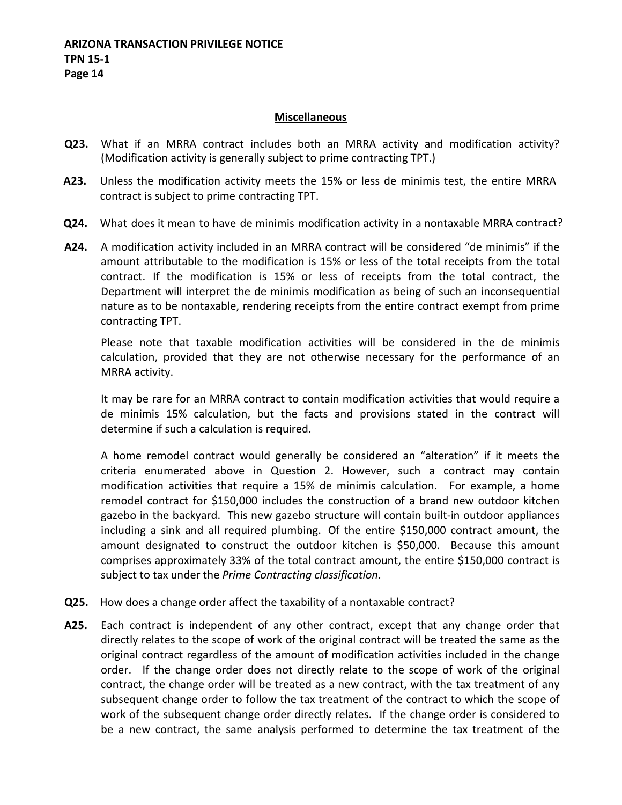### **Miscellaneous**

- **Q23.** What if an MRRA contract includes both an MRRA activity and modification activity? (Modification activity is generally subject to prime contracting TPT.)
- **A23.** Unless the modification activity meets the 15% or less de minimis test, the entire MRRA contract is subject to prime contracting TPT.
- **Q24.** What does it mean to have de minimis modification activity in a nontaxable MRRA contract?
- **A24.** A modification activity included in an MRRA contract will be considered "de minimis" if the amount attributable to the modification is 15% or less of the total receipts from the total contract. If the modification is 15% or less of receipts from the total contract, the Department will interpret the de minimis modification as being of such an inconsequential nature as to be nontaxable, rendering receipts from the entire contract exempt from prime contracting TPT.

Please note that taxable modification activities will be considered in the de minimis calculation, provided that they are not otherwise necessary for the performance of an MRRA activity.

It may be rare for an MRRA contract to contain modification activities that would require a de minimis 15% calculation, but the facts and provisions stated in the contract will determine if such a calculation is required.

A home remodel contract would generally be considered an "alteration" if it meets the criteria enumerated above in Question 2. However, such a contract may contain modification activities that require a 15% de minimis calculation. For example, a home remodel contract for \$150,000 includes the construction of a brand new outdoor kitchen gazebo in the backyard. This new gazebo structure will contain built-in outdoor appliances including a sink and all required plumbing. Of the entire \$150,000 contract amount, the amount designated to construct the outdoor kitchen is \$50,000. Because this amount comprises approximately 33% of the total contract amount, the entire \$150,000 contract is subject to tax under the *Prime Contracting classification*.

- **Q25.** How does a change order affect the taxability of a nontaxable contract?
- **A25.** Each contract is independent of any other contract, except that any change order that directly relates to the scope of work of the original contract will be treated the same as the original contract regardless of the amount of modification activities included in the change order. If the change order does not directly relate to the scope of work of the original contract, the change order will be treated as a new contract, with the tax treatment of any subsequent change order to follow the tax treatment of the contract to which the scope of work of the subsequent change order directly relates. If the change order is considered to be a new contract, the same analysis performed to determine the tax treatment of the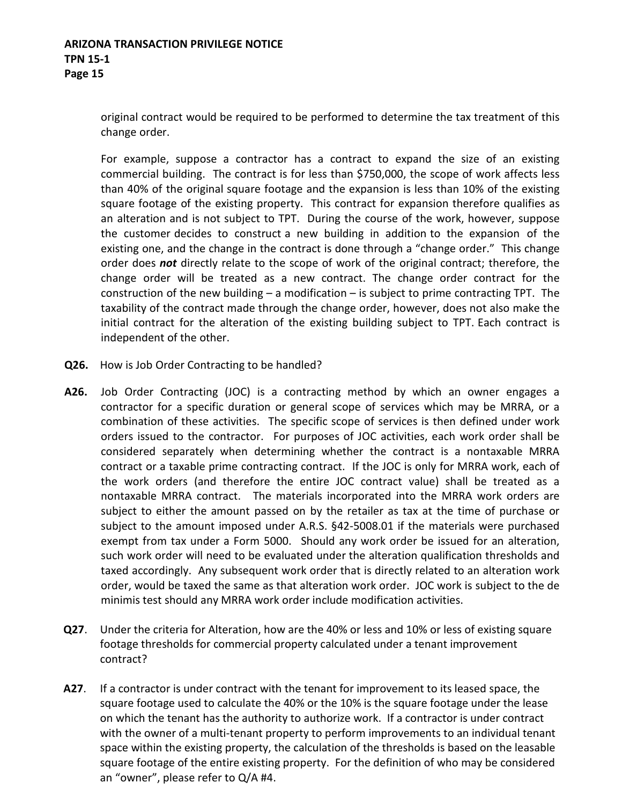original contract would be required to be performed to determine the tax treatment of this change order.

For example, suppose a contractor has a contract to expand the size of an existing commercial building. The contract is for less than \$750,000, the scope of work affects less than 40% of the original square footage and the expansion is less than 10% of the existing square footage of the existing property. This contract for expansion therefore qualifies as an alteration and is not subject to TPT. During the course of the work, however, suppose the customer decides to construct a new building in addition to the expansion of the existing one, and the change in the contract is done through a "change order." This change order does *not* directly relate to the scope of work of the original contract; therefore, the change order will be treated as a new contract. The change order contract for the construction of the new building  $-$  a modification  $-$  is subject to prime contracting TPT. The taxability of the contract made through the change order, however, does not also make the initial contract for the alteration of the existing building subject to TPT. Each contract is independent of the other.

- **Q26.** How is Job Order Contracting to be handled?
- **A26.** Job Order Contracting (JOC) is a contracting method by which an owner engages a contractor for a specific duration or general scope of services which may be MRRA, or a combination of these activities. The specific scope of services is then defined under work orders issued to the contractor. For purposes of JOC activities, each work order shall be considered separately when determining whether the contract is a nontaxable MRRA contract or a taxable prime contracting contract. If the JOC is only for MRRA work, each of the work orders (and therefore the entire JOC contract value) shall be treated as a nontaxable MRRA contract. The materials incorporated into the MRRA work orders are subject to either the amount passed on by the retailer as tax at the time of purchase or subject to the amount imposed under A.R.S. §42-5008.01 if the materials were purchased exempt from tax under a Form 5000. Should any work order be issued for an alteration, such work order will need to be evaluated under the alteration qualification thresholds and taxed accordingly. Any subsequent work order that is directly related to an alteration work order, would be taxed the same as that alteration work order. JOC work is subject to the de minimis test should any MRRA work order include modification activities.
- **Q27**. Under the criteria for Alteration, how are the 40% or less and 10% or less of existing square footage thresholds for commercial property calculated under a tenant improvement contract?
- **A27**. If a contractor is under contract with the tenant for improvement to its leased space, the square footage used to calculate the 40% or the 10% is the square footage under the lease on which the tenant has the authority to authorize work. If a contractor is under contract with the owner of a multi-tenant property to perform improvements to an individual tenant space within the existing property, the calculation of the thresholds is based on the leasable square footage of the entire existing property. For the definition of who may be considered an "owner", please refer to Q/A #4.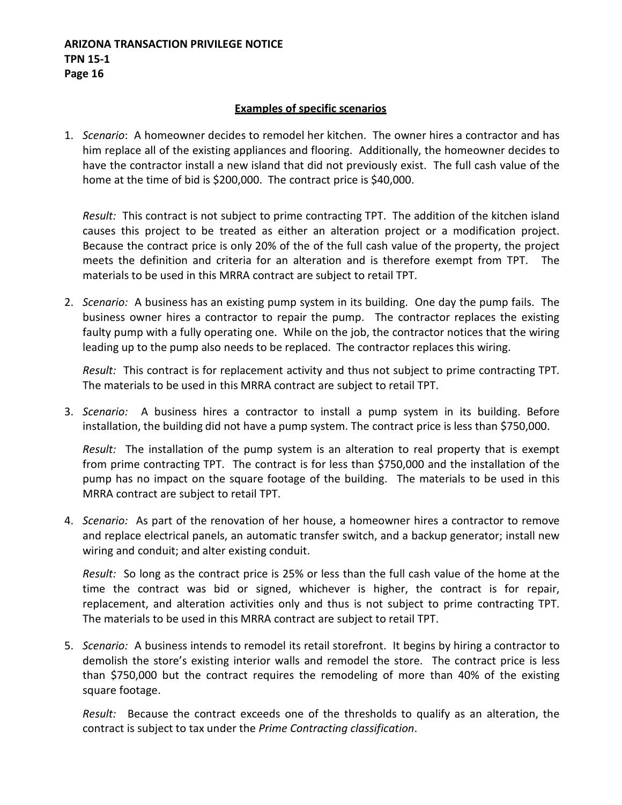## **ARIZONA TRANSACTION PRIVILEGE NOTICE TPN 15-1 Page 16**

## **Examples of specific scenarios**

1. *Scenario*: A homeowner decides to remodel her kitchen. The owner hires a contractor and has him replace all of the existing appliances and flooring. Additionally, the homeowner decides to have the contractor install a new island that did not previously exist. The full cash value of the home at the time of bid is \$200,000. The contract price is \$40,000.

*Result:* This contract is not subject to prime contracting TPT. The addition of the kitchen island causes this project to be treated as either an alteration project or a modification project. Because the contract price is only 20% of the of the full cash value of the property, the project meets the definition and criteria for an alteration and is therefore exempt from TPT. The materials to be used in this MRRA contract are subject to retail TPT.

2. *Scenario:* A business has an existing pump system in its building. One day the pump fails. The business owner hires a contractor to repair the pump. The contractor replaces the existing faulty pump with a fully operating one. While on the job, the contractor notices that the wiring leading up to the pump also needs to be replaced. The contractor replaces this wiring.

*Result:* This contract is for replacement activity and thus not subject to prime contracting TPT. The materials to be used in this MRRA contract are subject to retail TPT.

3. *Scenario:* A business hires a contractor to install a pump system in its building. Before installation, the building did not have a pump system. The contract price is less than \$750,000.

*Result:* The installation of the pump system is an alteration to real property that is exempt from prime contracting TPT. The contract is for less than \$750,000 and the installation of the pump has no impact on the square footage of the building. The materials to be used in this MRRA contract are subject to retail TPT.

4. *Scenario:* As part of the renovation of her house, a homeowner hires a contractor to remove and replace electrical panels, an automatic transfer switch, and a backup generator; install new wiring and conduit; and alter existing conduit.

*Result:* So long as the contract price is 25% or less than the full cash value of the home at the time the contract was bid or signed, whichever is higher, the contract is for repair, replacement, and alteration activities only and thus is not subject to prime contracting TPT. The materials to be used in this MRRA contract are subject to retail TPT.

5. *Scenario:* A business intends to remodel its retail storefront. It begins by hiring a contractor to demolish the store's existing interior walls and remodel the store. The contract price is less than \$750,000 but the contract requires the remodeling of more than 40% of the existing square footage.

*Result:* Because the contract exceeds one of the thresholds to qualify as an alteration, the contract is subject to tax under the *Prime Contracting classification*.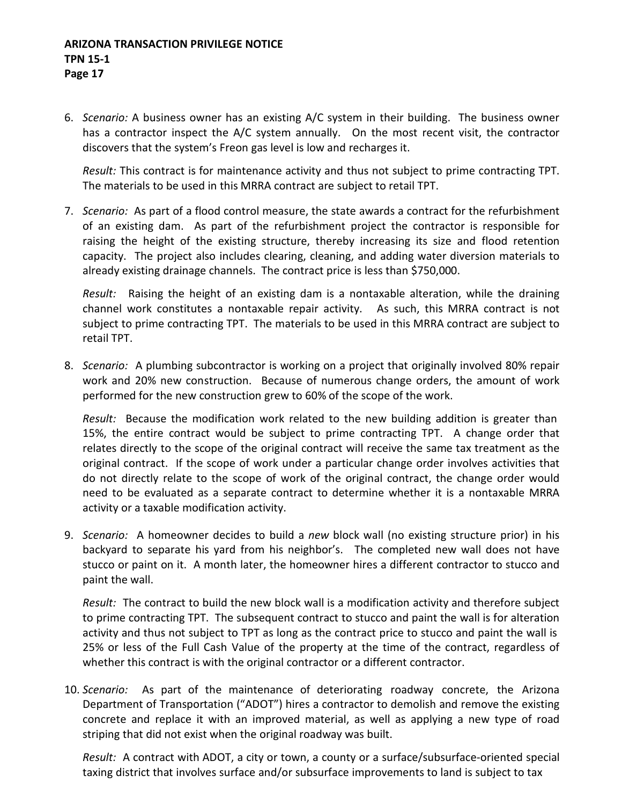6. *Scenario:* A business owner has an existing A/C system in their building. The business owner has a contractor inspect the A/C system annually. On the most recent visit, the contractor discovers that the system's Freon gas level is low and recharges it.

*Result:* This contract is for maintenance activity and thus not subject to prime contracting TPT. The materials to be used in this MRRA contract are subject to retail TPT.

7. *Scenario:* As part of a flood control measure, the state awards a contract for the refurbishment of an existing dam. As part of the refurbishment project the contractor is responsible for raising the height of the existing structure, thereby increasing its size and flood retention capacity. The project also includes clearing, cleaning, and adding water diversion materials to already existing drainage channels. The contract price is less than \$750,000.

*Result:* Raising the height of an existing dam is a nontaxable alteration, while the draining channel work constitutes a nontaxable repair activity. As such, this MRRA contract is not subject to prime contracting TPT. The materials to be used in this MRRA contract are subject to retail TPT.

8. *Scenario:* A plumbing subcontractor is working on a project that originally involved 80% repair work and 20% new construction. Because of numerous change orders, the amount of work performed for the new construction grew to 60% of the scope of the work.

*Result:* Because the modification work related to the new building addition is greater than 15%, the entire contract would be subject to prime contracting TPT. A change order that relates directly to the scope of the original contract will receive the same tax treatment as the original contract. If the scope of work under a particular change order involves activities that do not directly relate to the scope of work of the original contract, the change order would need to be evaluated as a separate contract to determine whether it is a nontaxable MRRA activity or a taxable modification activity.

9. *Scenario:* A homeowner decides to build a *new* block wall (no existing structure prior) in his backyard to separate his yard from his neighbor's. The completed new wall does not have stucco or paint on it. A month later, the homeowner hires a different contractor to stucco and paint the wall.

*Result:* The contract to build the new block wall is a modification activity and therefore subject to prime contracting TPT. The subsequent contract to stucco and paint the wall is for alteration activity and thus not subject to TPT as long as the contract price to stucco and paint the wall is 25% or less of the Full Cash Value of the property at the time of the contract, regardless of whether this contract is with the original contractor or a different contractor.

10. *Scenario:* As part of the maintenance of deteriorating roadway concrete, the Arizona Department of Transportation ("ADOT") hires a contractor to demolish and remove the existing concrete and replace it with an improved material, as well as applying a new type of road striping that did not exist when the original roadway was built.

*Result:* A contract with ADOT, a city or town, a county or a surface/subsurface-oriented special taxing district that involves surface and/or subsurface improvements to land is subject to tax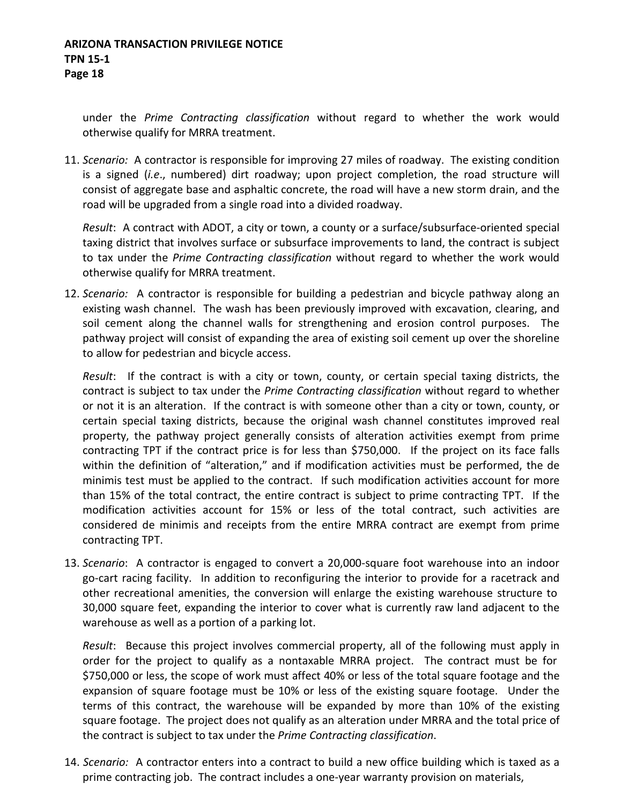under the *Prime Contracting classification* without regard to whether the work would otherwise qualify for MRRA treatment.

11. *Scenario:* A contractor is responsible for improving 27 miles of roadway. The existing condition is a signed (*i.e*., numbered) dirt roadway; upon project completion, the road structure will consist of aggregate base and asphaltic concrete, the road will have a new storm drain, and the road will be upgraded from a single road into a divided roadway.

*Result*: A contract with ADOT, a city or town, a county or a surface/subsurface-oriented special taxing district that involves surface or subsurface improvements to land, the contract is subject to tax under the *Prime Contracting classification* without regard to whether the work would otherwise qualify for MRRA treatment.

12. *Scenario:* A contractor is responsible for building a pedestrian and bicycle pathway along an existing wash channel. The wash has been previously improved with excavation, clearing, and soil cement along the channel walls for strengthening and erosion control purposes. The pathway project will consist of expanding the area of existing soil cement up over the shoreline to allow for pedestrian and bicycle access.

*Result*: If the contract is with a city or town, county, or certain special taxing districts, the contract is subject to tax under the *Prime Contracting classification* without regard to whether or not it is an alteration. If the contract is with someone other than a city or town, county, or certain special taxing districts, because the original wash channel constitutes improved real property, the pathway project generally consists of alteration activities exempt from prime contracting TPT if the contract price is for less than \$750,000. If the project on its face falls within the definition of "alteration," and if modification activities must be performed, the de minimis test must be applied to the contract. If such modification activities account for more than 15% of the total contract, the entire contract is subject to prime contracting TPT. If the modification activities account for 15% or less of the total contract, such activities are considered de minimis and receipts from the entire MRRA contract are exempt from prime contracting TPT.

13. *Scenario*: A contractor is engaged to convert a 20,000-square foot warehouse into an indoor go-cart racing facility. In addition to reconfiguring the interior to provide for a racetrack and other recreational amenities, the conversion will enlarge the existing warehouse structure to 30,000 square feet, expanding the interior to cover what is currently raw land adjacent to the warehouse as well as a portion of a parking lot.

*Result*: Because this project involves commercial property, all of the following must apply in order for the project to qualify as a nontaxable MRRA project. The contract must be for \$750,000 or less, the scope of work must affect 40% or less of the total square footage and the expansion of square footage must be 10% or less of the existing square footage. Under the terms of this contract, the warehouse will be expanded by more than 10% of the existing square footage. The project does not qualify as an alteration under MRRA and the total price of the contract is subject to tax under the *Prime Contracting classification*.

14. *Scenario:* A contractor enters into a contract to build a new office building which is taxed as a prime contracting job. The contract includes a one-year warranty provision on materials,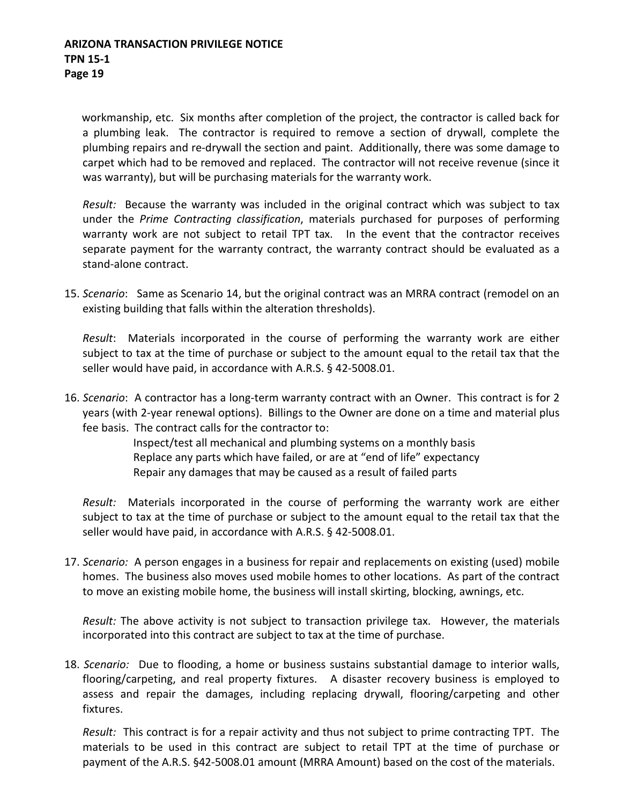workmanship, etc. Six months after completion of the project, the contractor is called back for a plumbing leak. The contractor is required to remove a section of drywall, complete the plumbing repairs and re-drywall the section and paint. Additionally, there was some damage to carpet which had to be removed and replaced. The contractor will not receive revenue (since it was warranty), but will be purchasing materials for the warranty work.

*Result:* Because the warranty was included in the original contract which was subject to tax under the *Prime Contracting classification*, materials purchased for purposes of performing warranty work are not subject to retail TPT tax. In the event that the contractor receives separate payment for the warranty contract, the warranty contract should be evaluated as a stand-alone contract.

15. *Scenario*: Same as Scenario 14, but the original contract was an MRRA contract (remodel on an existing building that falls within the alteration thresholds).

*Result*: Materials incorporated in the course of performing the warranty work are either subject to tax at the time of purchase or subject to the amount equal to the retail tax that the seller would have paid, in accordance with A.R.S. § 42-5008.01.

16. *Scenario*: A contractor has a long-term warranty contract with an Owner. This contract is for 2 years (with 2-year renewal options). Billings to the Owner are done on a time and material plus fee basis. The contract calls for the contractor to:

> Inspect/test all mechanical and plumbing systems on a monthly basis Replace any parts which have failed, or are at "end of life" expectancy Repair any damages that may be caused as a result of failed parts

*Result:* Materials incorporated in the course of performing the warranty work are either subject to tax at the time of purchase or subject to the amount equal to the retail tax that the seller would have paid, in accordance with A.R.S. § 42-5008.01.

17. *Scenario:* A person engages in a business for repair and replacements on existing (used) mobile homes. The business also moves used mobile homes to other locations. As part of the contract to move an existing mobile home, the business will install skirting, blocking, awnings, etc.

*Result:* The above activity is not subject to transaction privilege tax. However, the materials incorporated into this contract are subject to tax at the time of purchase.

18. *Scenario:* Due to flooding, a home or business sustains substantial damage to interior walls, flooring/carpeting, and real property fixtures. A disaster recovery business is employed to assess and repair the damages, including replacing drywall, flooring/carpeting and other fixtures.

*Result:* This contract is for a repair activity and thus not subject to prime contracting TPT. The materials to be used in this contract are subject to retail TPT at the time of purchase or payment of the A.R.S. §42-5008.01 amount (MRRA Amount) based on the cost of the materials.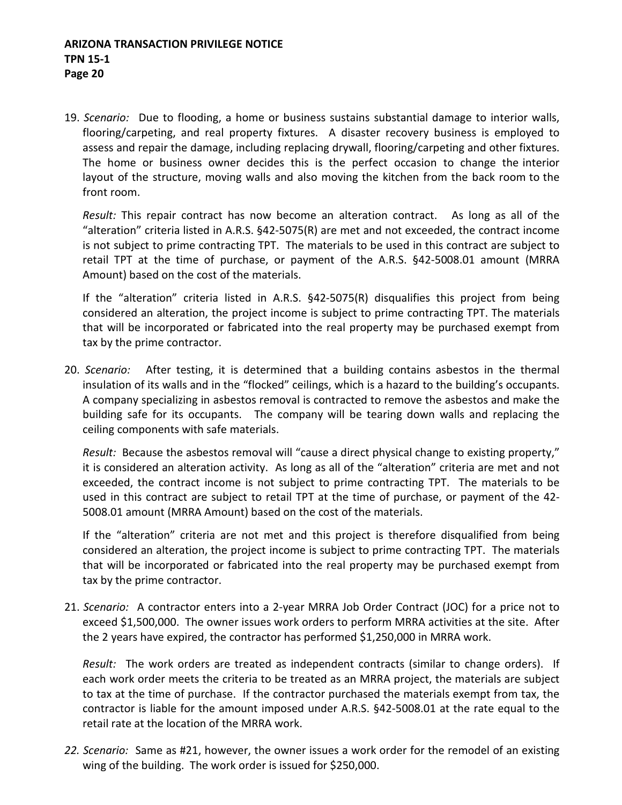19. *Scenario:* Due to flooding, a home or business sustains substantial damage to interior walls, flooring/carpeting, and real property fixtures. A disaster recovery business is employed to assess and repair the damage, including replacing drywall, flooring/carpeting and other fixtures. The home or business owner decides this is the perfect occasion to change the interior layout of the structure, moving walls and also moving the kitchen from the back room to the front room.

*Result:* This repair contract has now become an alteration contract. As long as all of the "alteration" criteria listed in A.R.S. §42-5075(R) are met and not exceeded, the contract income is not subject to prime contracting TPT. The materials to be used in this contract are subject to retail TPT at the time of purchase, or payment of the A.R.S. §42-5008.01 amount (MRRA Amount) based on the cost of the materials.

If the "alteration" criteria listed in A.R.S. §42-5075(R) disqualifies this project from being considered an alteration, the project income is subject to prime contracting TPT. The materials that will be incorporated or fabricated into the real property may be purchased exempt from tax by the prime contractor.

20. *Scenario:* After testing, it is determined that a building contains asbestos in the thermal insulation of its walls and in the "flocked" ceilings, which is a hazard to the building's occupants. A company specializing in asbestos removal is contracted to remove the asbestos and make the building safe for its occupants. The company will be tearing down walls and replacing the ceiling components with safe materials.

*Result:* Because the asbestos removal will "cause a direct physical change to existing property," it is considered an alteration activity. As long as all of the "alteration" criteria are met and not exceeded, the contract income is not subject to prime contracting TPT. The materials to be used in this contract are subject to retail TPT at the time of purchase, or payment of the 42- 5008.01 amount (MRRA Amount) based on the cost of the materials.

If the "alteration" criteria are not met and this project is therefore disqualified from being considered an alteration, the project income is subject to prime contracting TPT. The materials that will be incorporated or fabricated into the real property may be purchased exempt from tax by the prime contractor.

21. *Scenario:* A contractor enters into a 2-year MRRA Job Order Contract (JOC) for a price not to exceed \$1,500,000. The owner issues work orders to perform MRRA activities at the site. After the 2 years have expired, the contractor has performed \$1,250,000 in MRRA work.

*Result:* The work orders are treated as independent contracts (similar to change orders). If each work order meets the criteria to be treated as an MRRA project, the materials are subject to tax at the time of purchase. If the contractor purchased the materials exempt from tax, the contractor is liable for the amount imposed under A.R.S. §42-5008.01 at the rate equal to the retail rate at the location of the MRRA work.

*22. Scenario:* Same as #21, however, the owner issues a work order for the remodel of an existing wing of the building. The work order is issued for \$250,000.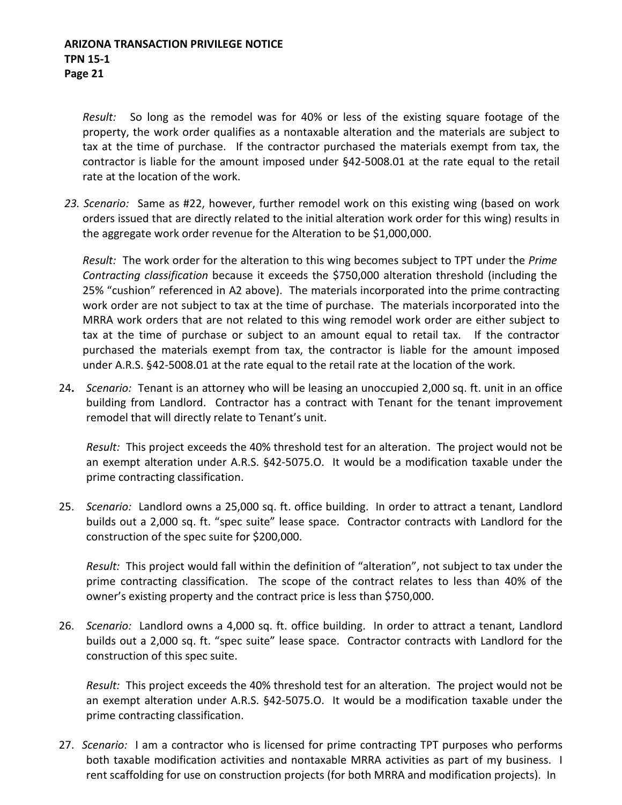*Result:* So long as the remodel was for 40% or less of the existing square footage of the property, the work order qualifies as a nontaxable alteration and the materials are subject to tax at the time of purchase. If the contractor purchased the materials exempt from tax, the contractor is liable for the amount imposed under §42-5008.01 at the rate equal to the retail rate at the location of the work.

*23. Scenario:* Same as #22, however, further remodel work on this existing wing (based on work orders issued that are directly related to the initial alteration work order for this wing) results in the aggregate work order revenue for the Alteration to be \$1,000,000.

*Result:* The work order for the alteration to this wing becomes subject to TPT under the *Prime Contracting classification* because it exceeds the \$750,000 alteration threshold (including the 25% "cushion" referenced in A2 above). The materials incorporated into the prime contracting work order are not subject to tax at the time of purchase. The materials incorporated into the MRRA work orders that are not related to this wing remodel work order are either subject to tax at the time of purchase or subject to an amount equal to retail tax. If the contractor purchased the materials exempt from tax, the contractor is liable for the amount imposed under A.R.S. §42-5008.01 at the rate equal to the retail rate at the location of the work.

24**.** *Scenario:* Tenant is an attorney who will be leasing an unoccupied 2,000 sq. ft. unit in an office building from Landlord. Contractor has a contract with Tenant for the tenant improvement remodel that will directly relate to Tenant's unit.

*Result:* This project exceeds the 40% threshold test for an alteration. The project would not be an exempt alteration under A.R.S. §42-5075.O. It would be a modification taxable under the prime contracting classification.

25. *Scenario:* Landlord owns a 25,000 sq. ft. office building. In order to attract a tenant, Landlord builds out a 2,000 sq. ft. "spec suite" lease space. Contractor contracts with Landlord for the construction of the spec suite for \$200,000.

*Result:* This project would fall within the definition of "alteration", not subject to tax under the prime contracting classification. The scope of the contract relates to less than 40% of the owner's existing property and the contract price is less than \$750,000.

26. *Scenario:* Landlord owns a 4,000 sq. ft. office building. In order to attract a tenant, Landlord builds out a 2,000 sq. ft. "spec suite" lease space. Contractor contracts with Landlord for the construction of this spec suite.

*Result:* This project exceeds the 40% threshold test for an alteration. The project would not be an exempt alteration under A.R.S. §42-5075.O. It would be a modification taxable under the prime contracting classification.

27. *Scenario:* I am a contractor who is licensed for prime contracting TPT purposes who performs both taxable modification activities and nontaxable MRRA activities as part of my business. I rent scaffolding for use on construction projects (for both MRRA and modification projects). In